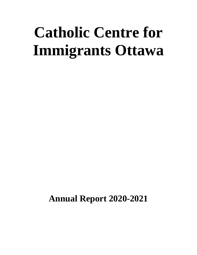# **Catholic Centre for Immigrants Ottawa**

**Annual Report 2020-2021**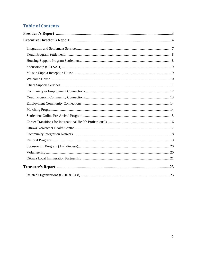### **Table of Contents**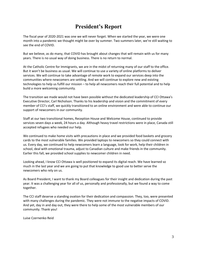# **President's Report**

The fiscal year of 2020-2021 was one we will never forget. When we started the year, we were one month into a pandemic we thought might be over by summer. Two summers later, we're still waiting to see the end of COVID.

But we believe, as do many, that COVID has brought about changes that will remain with us for many years. There is no usual way of doing business. There is no return to normal.

At the Catholic Centre for Immigrants, we are in the midst of returning many of our staff to the office. But it won't be business as usual. We will continue to use a variety of online platforms to deliver services. We will continue to take advantage of remote work to expand our services deep into the communities where newcomers are settling. And we will continue to explore new and existing technologies to help us fulfill our mission – to help all newcomers reach their full potential and to help build a more welcoming community.

The transition we made would not have been possible without the dedicated leadership of CCI Ottawa's Executive Director, Carl Nicholson. Thanks to his leadership and vision and the commitment of every member of CCI's staff, we quickly transitioned to an online environment and were able to continue our support of newcomers in our community.

Staff at our two transitional homes, Reception House and Welcome House, continued to provide services seven days a week, 24 hours a day. Although heavy travel restrictions were in place, Canada still accepted refugees who needed our help.

We continued to make home visits with precautions in place and we provided food baskets and grocery cards to the most vulnerable families. We provided laptops to newcomers so they could connect with us. Every day, we continued to help newcomers learn a language, look for work, help their children in school, deal with emotional trauma, adjust to Canadian culture and make friends in the community. Earlier this fall, we provided school supplies to newcomer children in need.

Looking ahead, I know CCI Ottawa is well positioned to expand its digital reach. We have learned so much in the last year and we are going to put that knowledge to good use to better serve the newcomers who rely on us.

As Board President, I want to thank my Board colleagues for their insight and dedication during the past year. It was a challenging year for all of us, personally and professionally, but we found a way to come together.

The CCI staff deserve a standing ovation for their dedication and compassion. They, too, were presented with many challenges during the pandemic. They were not immune to the negative impacts of COVID. And yet, day in and day out, they were there to help some of the most vulnerable members of our community. Thank you!

Luise Czernenko Reid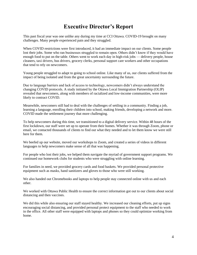# **Executive Director's Report**

This past fiscal year was one unlike any during my time at CCI Ottawa. COVID-19 brought on many challenges. Many people experienced pain and they struggled.

When COVID restrictions were first introduced, it had an immediate impact on our clients. Some people lost their jobs. Some who ran businesses struggled to remain open. Others didn't know if they would have enough food to put on the table. Others went to work each day in high-risk jobs — delivery people, house cleaners, taxi drivers, bus drivers, grocery clerks, personal support care workers and other occupations that tend to rely on newcomers.

Young people struggled to adapt to going to school online. Like many of us, our clients suffered from the impact of being isolated and from the great uncertainty surrounding the future.

Due to language barriers and lack of access to technology, newcomers didn't always understand the changing COVID protocols. A study initiated by the Ottawa Local Immigration Partnership (OLIP) revealed that newcomers, along with members of racialized and low-income communities, were more likely to contract COVID.

Meanwhile, newcomers still had to deal with the challenges of settling in a community. Finding a job, learning a language, enrolling their children into school, making friends, developing a network and more. COVID made the settlement journey that more challenging.

To help newcomers during this time, we transitioned to a digital delivery service. Within 48 hours of the first lockdown, our staff were set up to operate from their homes. Whether it was through Zoom, phone or email, we contacted thousands of clients to find out what they needed and to let them know we were still here for them.

We beefed up our website, moved our workshops to Zoom, and created a series of videos in different languages to help newcomers make sense of all that was happening.

For people who lost their jobs, we helped them navigate the myriad of government support programs. We continued our homework clubs for students who were struggling with online learning.

For families in need, we provided grocery cards and food baskets. We provided personal protective equipment such as masks, hand sanitizers and gloves to those who were still working.

We also handed out Chromebooks and laptops to help people stay connected online with us and each other.

We worked with Ottawa Public Health to ensure the correct information got out to our clients about social distancing and then vaccines.

We did this while also ensuring our staff stayed healthy. We increased our cleaning efforts, put up signs encouraging social distancing, and provided personal protect equipment to the staff who needed to work in the office. All other staff were equipped with laptops and phones so they could optimize working from home.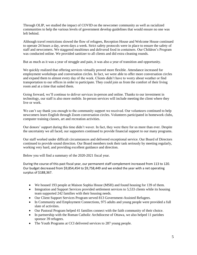Through OLIP, we studied the impact of COVID on the newcomer community as well as racialized communities to help the various levels of government develop guidelines that would ensure no one was left behind.

Although travel restrictions slowed the flow of refugees, Reception House and Welcome House continued to operate 24 hours a day, seven days a week. Strict safety protocols were in place to ensure the safety of staff and newcomers. We staggered mealtimes and delivered food in containers. Our Children's Program was conducted online. We provided sanitizer to all clients and did extra cleaning rounds.

But as much as it was a year of struggle and pain, it was also a year of transition and opportunity.

We quickly realized that offering services virtually proved more flexible. Attendance increased for employment workshops and conversation circles. In fact, we were able to offer more conversation circles and expand them to almost every day of the week. Clients didn't have to worry about weather or find transportation to our offices in order to participate. They could join us from the comfort of their living room and at a time that suited them.

Going forward, we'll continue to deliver services in-person and online. Thanks to our investment in technology, our staff is also more mobile. In-person services will include meeting the client where they live or work.

We can't say thank you enough to the community support we received. Our volunteers continued to help newcomers learn English through Zoom conversation circles. Volunteers participated in homework clubs, computer training classes, art and recreation activities.

Our donors' support during this time didn't waver. In fact, they were there for us more than ever. Despite the uncertainty we all faced, our supporters continued to provide financial support to our many programs.

Our staff worked under difficult circumstances and delivered exceptional service. Our Board of Directors continued to provide sound direction. Our Board members took their task seriously by meeting regularly, working very hard, and providing excellent guidance and direction.

Below you will find a summary of the 2020-2021 fiscal year.

During the course of this past fiscal year, our permanent staff complement increased from 113 to 120. Our budget decreased from \$9,854,454 to \$9,758,449 and we ended the year with a net operating surplus of \$188,367.

- We housed 193 people at Maison Sophia House (MSH) and found housing for 139 of them.
- Integration and Support Services provided settlement services to 5,533 clients while its housing team supported 242 families with their housing needs.
- Our Client Support Services Program served 813 Government-Assisted Refugees.
- In Community and Employment Connections, 975 adults and young people were provided a full slate of activities.
- Our Pastoral Program helped 41 families connect with the faith community of their choice.
- In partnership with the Roman Catholic Archdiocese of Ottawa, we also helped 11 parishes sponsor 39 refugees.
- The Youth Programs at CCI delivered services to 287 young people.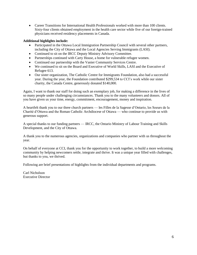Career Transitions for International Health Professionals worked with more than 100 clients. Sixty-four clients obtained employment in the health care sector while five of our foreign-trained physicians received residency placements in Canada.

### **Additional highlights include:**

- Participated in the Ottawa Local Immigration Partnership Council with several other partners, including the City of Ottawa and the Local Agencies Serving Immigrants (LASI).
- Continued to sit on the IRCC Deputy Ministry Advisory Committee.
- Partnerships continued with Carty House, a home for vulnerable refugee women.
- Continued our partnership with the Vanier Community Services Centre.
- We continued to sit on the Board and Executive of World Skills, LASI and the Executive of Refugee 613.
- Our sister organization, The Catholic Centre for Immigrants Foundation, also had a successful year. During the year, the Foundation contributed \$299,534 to CCI's work while our sister charity, the Canada Centre, generously donated \$140,000.

Again, I want to thank our staff for doing such an exemplary job, for making a difference in the lives of so many people under challenging circumstances. Thank you to the many volunteers and donors. All of you have given us your time, energy, commitment, encouragement, money and inspiration.

A heartfelt thank you to our three church partners — les Filles de la Sagesse d'Ontario, les Soeurs de la Charité d'Ottawa and the Roman Catholic Archdiocese of Ottawa — who continue to provide us with generous support.

A special thanks to our funding partners — IRCC, the Ontario Ministry of Labour Training and Skills Development, and the City of Ottawa.

A thank you to the numerous agencies, organizations and companies who partner with us throughout the year.

On behalf of everyone at CCI, thank you for the opportunity to work together, to build a more welcoming community by helping newcomers settle, integrate and thrive. It was a unique year filled with challenges, but thanks to you, we thrived.

Following are brief presentations of highlights from the individual departments and programs.

Carl Nicholson Executive Director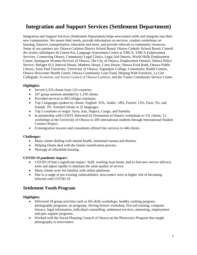# **Integration and Support Services (Settlement Department)**

Integration and Support Services (Settlement Department) helps newcomers settle and integrate into their new communities. We assess their needs, provide information on services, conduct workshops on housing, finances, transportation, education and more, and provide referrals to community resources. Some of our partners are: Ottawa-Carleton District School Board, Ottawa Catholic School Board, Conseil des écoles catholiques du Centre-Est, Language Assessment Centre at YMCA, YMCA Employment Services, Connecting Ottawa, Community Legal Clinics, Legal Aid Ontario, World Skills Employment Centre, Immigrant Women Services of Ottawa, The City of Ottawa, Employment Ontario, Ottawa Police Service, Refugee 613, Interval House, Matthew House, Carty House, Ottawa Food Bank, Ottawa Public Library, Saint Paul University, University of Ottawa, Algonquin College, Community Health Centres, Ottawa Newcomer Health Centre, Ottawa Community Loan Fund, Helping With Furniture, La Cité Collegiale, Economic and Social Council of Ottawa-Carleton, and the Vanier Community Service Centre.

### **Highlights:**

- Served 5,533 clients from 123 countries.
- 267 group sessions attended by 1,339 clients.
- Provided services to 605 refugee claimants.
- Top 5 languages spoken by clients: English: 31%, Arabic: 18%, French: 13%, Farsi: 5%, and Somali: 3%. Assisted clients in 22 languages.
- Top 5 countries of origin: Syria, Iran, Nigeria, Congo, and Somalia.
- In partnership with COSTI, delivered 42 Orientation to Ontario workshops to 531 clients; 12 workshops at the University of Ottawa to 209 international students through International Student Connect Project.
- 8 immigration lawyers and consultants offered free services to 446 clients.

### **Challenges:**

- Many clients dealing with mental health, emotional trauma and distress.
- Helping clients deal with the family reunification process.
- Shortage of affordable housing.

### **COVID-19 pandemic impact:**

- COVID-19 had a significant impact. Staff, working from home, had to find new service delivery tools and adjust rapidly to maintain the same quality of service.
- Many clients were not familiar with online platforms.
- Due to a range of pre-existing vulnerabilities, newcomers were at higher risk of becoming infected with COVID-19.

### **Settlement Youth Program**

- Delivered 34 group activities such as life skills workshops, healthy cooking program, photography programs, art programs, driving licence workshop, first-aid training, computer literacy, legal information, individual counselling, settlement services, mentoring, employment and peer support programs.
- Worked with the Social Planning Council of Ottawa on the Photovoice Program that taught photography to newcomers.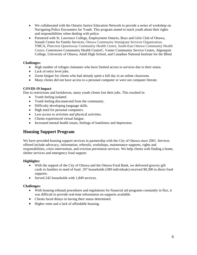- We collaborated with the Ontario Justice Education Network to provide a series of workshop on Navigating Police Encounters for Youth. This program aimed to teach youth about their rights and responsibilities when dealing with police.
- Partnered with St. Lawrence College, Employment Ontario, Boys and Girls Club of Ottawa, Somali Centre for Family Services, Ottawa Community Immigrant Services Organization, YMCA, Pinecrest-Queensway Community Health Centre, South-East Ottawa Community Health Centre, Centretown Community Health CentreC, Vanier Community Service Centre, Algonquin College, University of Ottawa, Adult High School, and Canadian National Institute for the Blind.

### **Challenges:**

- High number of refugee claimants who have limited access to services due to their status.
- Lack of entry level jobs.
- Zoom fatigue for clients who had already spent a full day in an online classroom.
- Many clients did not have access to a personal computer or were not computer literate.

### **COVID-19 Impact**

Due to restrictions and lockdowns, many youth clients lost their jobs. This resulted in:

- Youth feeling isolated.
- Youth feeling disconnected from the community.
- Difficulty developing language skills.
- High need for personal computers.
- Less access to activities and physical activities.
- Clients experienced virtual fatigue.
- Increased mental health issues, feelings of loneliness and depression.

### **Housing Support Program**

We have provided housing support services in partnership with the City of Ottawa since 2001. Services offered include advocacy, information, referrals, workshops, maintenance supports, rights and responsibilities, crisis intervention, and eviction prevention services. We help clients with finding a home, shelter services and emergency food support.

### **Highlights:**

- With the support of the City of Ottawa and the Ottawa Food Bank, we delivered grocery gift cards to families in need of food. 197 households (589 individuals) received \$9,300 in direct food supports.
- Served 242 households with 1,849 services.

### **Challenges:**

- With housing tribunal procedures and regulations for financial aid programs constantly in flux, it was difficult to provide real-time information on supports available.
- Clients faced delays in having their status determined.
- Higher rents and a lack of affordable housing.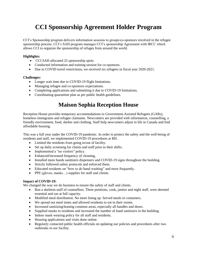# **CCI Sponsorship Agreement Holder Program**

CCI's Sponsorship program delivers information sessions to groups/co-sponsors involved in the refugee sponsorship process. CCI's SAH program manages CCI's sponsorship Agreement with IRCC which allows CCI to organize the sponsorship of refuges from around the world.

### **Highlights:**

- CCI SAH allocated 25 sponsorship spots.
- Conducted information and training session for co-sponsors.
- Due to COVID travel restrictions, we received six refugees in fiscal year 2020-2021.

### **Challenges:**

- Longer wait time due to COVID-19 flight limitations.
- Managing refugee and co-sponsors expectations.
- Completing applications and submitting it due to COVID-19 limitations.
- Coordinating quarantine plan as per public health guidelines.

# **Maison Sophia Reception House**

Reception House provides temporary accommodations to Government-Assisted Refugees (GARs), homeless immigrants and refugee claimants. Newcomers are provided with information, counselling, a friendly environment, food, shelter and clothing. Staff help newcomers adjust to life in Canada and find affordable housing.

This was a full year under the COVID-19 pandemic. In order to protect the safety and the well-being of residents and staff, we implemented COVID-19 procedures at RH.

- Limited the residents from going in/out of facility.
- Set up daily screening for clients and staff prior to their shifts.
- Implemented a "no visitors" policy.
- Enhanced/increased frequency of cleaning,
- Installed more hands sanitizers dispensers and COVID-19 signs throughout the building.
- Strictly followed safety protocols and enforced them.
- Educated residents on "how to do hand washing" and more frequently.
- PPE (gloves, masks...) supplies for staff and clients.

### **Impact of COVID-19:**

We changed the way we do business to ensure the safety of staff and clients.

- Ran a skeleton staff of counsellors. Three positions, cook, janitor and night staff, were deemed essential and ran at full capacity.
- Modified meal distribution. No more lining up. Served meals in containers.
- We spread out meal times and allowed residents to eat in their rooms.
- Increased sanitizing/leaning common areas, especially all handles and doors.
- Supplied masks to residents and increased the number of hand sanitizers in the building.
- Indoor mask wearing policy for all staff and residents.
- Housing applications and visits done online.
- Regularly contacted public health officials on updating our policies and procedures after two outbreaks in our facility.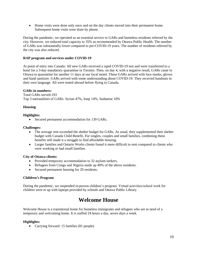Home visits were done only once and on the day clients moved into their permanent home. Subsequent home visits were done by phone.

During the pandemic, we operated as an essential service to GARs and homeless residents referred by the city. However, we reduced total capacity to 35% as recommended by Ottawa Public Health. The number of GARs was substantially lower compared to pre-COVID-19 years. The number of residents referred by the city was also reduced.

### **RAP program and services under COVID-19**

At point of entry into Canada: All new GARs received a rapid COVID-19 test and were transferred to a hotel for a 3-day mandatory quarantine in Toronto. Then, on day 4, with a negative result, GARs came to Ottawa to quarantine for another 11 days at our local motel. These GARs arrived with face masks, gloves and hand sanitizer. GARs arrived with some understanding about COVID-19. They received handouts in their own language. All were tested abroad before flying to Canada.

### **GARs in numbers:**

Total GARs served:193 Top 3 nationalities of GARs: Syrian 47%, Iraqi 14%, Sudanese 10%

### **Housing**

### **Highlights:**

• Secured permanent accommodation for 139 GARs.

### **Challenges:**

- The average rent exceeded the shelter budget for GARs. As usual, they supplemented their shelter budget with Canada Child Benefit. For singles, couples and small families, combining these benefits still made it a struggle to find affordable housing.
- Larger families and Ontario Works clients found it more difficult to rent compared to clients who were working or had small families.

### **City of Ottawa clients:**

- Provided temporary accommodation to 32 asylum seekers.
- Refugees from Congo and Nigeria made up 40% of the above residents.
- Secured permanent housing for 29 residents.

### **Children's Program**

During the pandemic, we suspended in-person children's program. Virtual activities/school work for children were et up with laptops provided by schools and Ottawa Public Library.

# **Welcome House**

Welcome House is a transitional home for homeless immigrants and refugees who are in need of a temporary and welcoming home. It is staffed 24 hours a day, seven days a week.

### **Highlights:**

• Carrying forward: 15 families (81 people)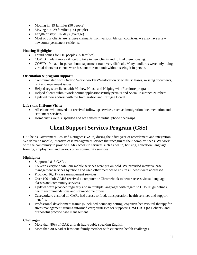- Moving in: 19 families (90 people)
- Moving out: 29 families (141 people)
- Length of stay: 102 days (average)
- Most of our clients are refugee claimants from various African countries, we also have a few newcomer permanent residents.

### **Housing Highlights:**

- Found homes for 116 people (25 families).
- COVID made it more difficult to take in new clients and to find them housing.
- COVID-19 made in-person home/apartment tours very difficult. Many landlords were only doing virtual doors but clients were hesitant to rent a unit without seeing it in person.

### **Orientation & program support:**

- Communicated with Ontario Works workers/Verification Specialists: leases, missing documents, rent and repayment issues.
- Helped register clients with Mathew House and Helping with Furniture program.
- Helped clients submit work permit applications/study permits and Social Insurance Numbers.
- Updated their address with the Immigration and Refugee Board.

### **Life skills & Home Visits:**

- All clients who moved out received follow-up services, such as immigration documentation and settlement services.
- Home visits were suspended and we shifted to virtual phone check-ups.

# **Client Support Services Program (CSS)**

CSS helps Government Assisted Refugees (GARs) during their first year of resettlement and integration. We deliver a mobile, intensive case management service that recognizes their complex needs. We work with the community to provide GARs access to services such as health, housing, education, language training, employment and various other community services.

### **Highlights:**

- Supported 813 GARs.
- To keep everyone safe, our mobile services were put on hold. We provided intensive case management services by phone and used other methods to ensure all needs were addressed.
- Provided 16,217 case management services.
- Over 100 adult GARS received a computer or Chromebook to better access virtual language classes and community services.
- Updates were provided regularly and in multiple languages with regard to COVID guidelines, health recommendations and stay-at-home orders.
- Caseworkers ensured all GARs had access to food, transportation, health services and support benefits.
- Professional development trainings included boundary-setting, cognitive behavioural therapy for stress management, trauma-informed care; strategies for supporting 2SLGBTQIA+ clients; and purposeful practice case management.

### **Challenges:**

- More than 80% of GAR arrivals had trouble speaking English.
- More than 30% had at least one family member with extensive health challenges.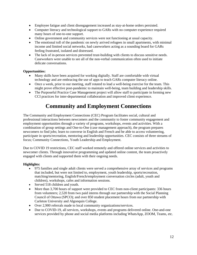- Employee fatigue and client disengagement increased as stay-at-home orders persisted.
- Computer literacy and technological support to GARs with no computer experience required many hours of one-to-one support.
- Online government and community services were not functioning at usual capacity.
- The emotional toll of the pandemic on newly arrived refugees in small apartments, with minimal income and limited social networks, had caseworkers acting as a sounding board for GARs feeling frustrated, isolated and distressed.
- The lack of in-person services prevented trust-building with clients to discuss sensitive needs. Caseworkers were unable to see all of the non-verbal communication often used to initiate delicate conversations.

### **Opportunities:**

- Many skills have been acquired for working digitally. Staff are comfortable with virtual technology and are embracing the use of apps to teach GARs computer literacy online.
- Once a week, prior to our meeting, staff rotated to lead a well-being exercise for the team. This might prove effective post-pandemic to maintain well-being, team building and leadership skills.
- The Purposeful Practice Case Management project will allow staff to participate in forming new CCI practices for inter-departmental collaboration and improved client experience.

# **Community and Employment Connections**

The Community and Employment Connections (CEC) Program facilitates social, cultural and professional interactions between newcomers and the community to foster community engagement and employment opportunities through a variety of programs, workshops, events and activities. With a combination of group settings and One-to-One (case management approach), the program prepares newcomers to find jobs; learn to converse in English and French and be able to access volunteering, participate in sports/recreation, mentoring and leadership opportunities. CEC consists of three streams of focus; Community Connections, Youth Leadership and Employment.

Due to COVID 19 restrictions, CEC staff worked remotely and offered online services and activities to newcomer clients. Through innovative programming and updated online content, the team proactively engaged with clients and supported them with their ongoing needs.

- 975 families and single adult clients were served a comprehensive array of services and programs that included, but were not limited to, employment, youth leadership, sports/recreation, matching/mentoring, English/French/employment conversation circles (adult, youth and children), workshops, cafes and information sessions.
- Served 518 children and youth.
- More than 3,700 hours of support were provided to CEC from non-client participants: 336 hours from volunteers; 2,520 from two paid interns through our partnership with the Social Planning Council of Ottawa (SPCO); and over 850 student placement hours from our partnership with Carleton University and Algonquin College.
- Over 2,900 referrals made to local community organizations/services.
- Due to COVID-19, all services, workshops, events and programs delivered online. One-and-one services provided by phone and social media platforms including WhatsApp, ZOOM, Teams, etc.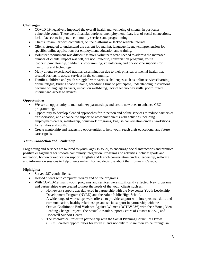### **Challenges:**

- COVID-19 negatively impacted the overall health and wellbeing of clients; in particular, vulnerable youth. There were financial burdens, unemployment, fear, loss of social connections, lack of access to in-person community services and programming.
- Clients unfamiliar with computers, online platforms or lacked reliable internet.
- Clients struggled to understand the current job market, language fluency/comprehension-job specific, online applications for employment, education and training.
- Volunteer recruitment was difficult as more volunteers were needed to address the increased number of clients. Impact was felt, but not limited to, conversation programs, youth leadership/mentorship, children's programming, volunteering and one-on-one supports for mentoring and technology.
- Many clients experienced trauma, discrimination due to their physical or mental health that created barriers to access services in the community.
- Families, children and youth struggled with various challenges such as online services/learning, online fatigue, finding space at home, scheduling time to participate, understanding instructions because of language barriers, impact on well-being, lack of technology skills, poor/limited internet and access to devices.

### **Opportunities:**

- We see an opportunity to maintain key partnerships and create new ones to enhance CEC programming.
- Opportunity to develop blended approaches for in-person and online services to reduce barriers of transportation, and enhance the support to newcomer clients with activities including employment-career, mentorship, homework programs, English conversation circles, workshops for families and youth.
- Create mentorship and leadership opportunities to help youth reach their educational and future career goals.

### **Youth Connection and Leadership**

Programing and services are tailored to youth, ages 15 to 29, to encourage social interactions and promote positive engagement for smooth community integration. Programs and activities include: sports and recreation, homework/education support, English and French conversation circles, leadership, self-care and information sessions to help clients make informed decisions about their future in Canada.

- Served 287 youth clients.
- Helped clients with computer literacy and online programs.
- With COVID-19, many youth programs and services were significantly affected. New programs and partnerships were created to meet the needs of the youth clients such as:
	- o Homework support was delivered in partnership with the Newcomer Youth Leadership Development Program (NYLD) and the Adult Public High School.
	- o A wide range of workshops were offered to provide support with interpersonal skills and communication, healthy relationships and social support in partnership with the Ottawa Coalition to End Violence Against Women (OCTEVAW) with their Young Men Leading Change Project, The Sexual Assault Support Centre of Ottawa (SASC) and Hopewell Support Centre.
	- o The Photovoice Project in partnership with the Social Planning Council of Ottawa (SPCO) created opportunities for youth clients not only to share their voice through an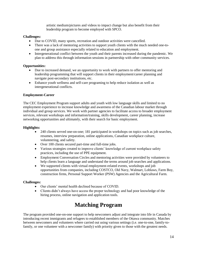artistic medium/pictures and videos to impact change but also benefit from their leadership program to become employed with SPCO.

### **Challenges:**

- Due to COVID, many sports, recreation and outdoor activities were cancelled.
- There was a lack of mentoring activities to support youth clients with the much needed one-toone and group assistance especially related to education and employment.
- Intergenerational conflict between the youth and their parents increased during the pandemic. We plan to address this through information sessions in partnership with other community services.

### **Opportunities:**

- Due to increased demand, we an opportunity to work with partners to offer mentoring and leadership programming that will support clients in their employment/career planning and navigate post-secondary institutions, etc.
- Enhance youth wellness and self-care programing to help reduce isolation as well as intergenerational conflicts.

### **Employment-Career**

The CEC Employment Program support adults and youth with low language skills and limited to no employment experience to increase knowledge and awareness of the Canadian labour market through individual and group services. We work with partner agencies to facilitate access to broader employment services, relevant workshops and information/training, skills development, career planning, increase networking opportunities and ultimately, with their search for basic employment.

### **Highlights:**

- 240 clients served one-on-one; 181 participated in workshops on topics such as job searches, resumes, interview preparation, online applications, Canadian workplace culture, volunteering, and safety.
- Over 100 clients secured part-time and full-time jobs.
- Various strategies created to improve clients' knowledge of current workplace safety practices, including the use of PPE equipment.
- Employment Conversation Circles and mentoring activities were provided by volunteers to help clients learn a language and understand the terms around job searches and applications.
- We supported clients with virtual employment-related events, workshops and job opportunities from companies, including COSTCO, Old Navy, Walmart, Loblaws, Farm Boy, construction firms, Personal Support Worker (PSW) Agencies and the Agricultural Farm.

### **Challenges:**

- Our clients' mental health declined because of COVID.
- Clients didn't always have access the proper technology and had poor knowledge of the hiring process, online navigation and application tools.

# **Matching Program**

The program provided one-on-one support to help newcomers adjust and integrate into life in Canada by introducing recent immigrants and refugees to established members of the Ottawa community. Matches between newcomers and volunteers where carried out using various settings (i.e. one-to-one, family-tofamily, or one volunteer with a newcomer family) with priority given to those with the greatest needs.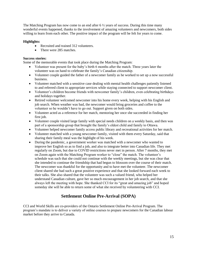The Matching Program has now come to an end after  $6\frac{1}{2}$  years of success. During this time many wonderful events happened, thanks to the involvement of amazing volunteers and newcomers, both sides willing to learn from each other. The positive impact of the program will be felt for years to come.

### **Highlights:**

- Recruited and trained 312 volunteers.
- There were 285 matches.

### **Success stories:**

Some of the memorable events that took place during the Matching Program:

- Volunteer was present for the baby's birth 6 months after the match. Three years later the volunteer was on hand to celebrate the family's Canadian citizenship.
- Volunteer couple guided the father of a newcomer family as he worked to set up a now successful business.
- Volunteer matched with a sensitive case dealing with mental health challenges patiently listened to and referred client to appropriate services while staying connected to support newcomer client.
- Volunteer's children become friends with newcomer family's children, even celebrating birthdays and holidays together.
- Retired volunteer welcomed newcomer into his home every week, helping with his English and job search. When weather was bad, the newcomer would bring groceries and coffee to the volunteer so he wouldn't have to go out. Support given on both sides.
- Volunteer acted as a reference for her match, mentoring her once she succeeded in finding her first job.
- Volunteer couple visited large family with special needs children on a weekly basis, and then was part of a sponsorship group that brought the family's eldest child and family to Ottawa.
- Volunteer helped newcomer family access public library and recreational activities for her match.
- Volunteer matched with a young newcomer family, visited with them every Saturday, said that sharing their family meal was the highlight of his week.
- During the pandemic, a government worker was matched with a newcomer who wanted to improve her English so as to find a job, and also to integrate better into Canadian life. They met regularly on Zoom, but due to COVID restrictions never met in person. After 7 months, they met on Zoom again with the Matching Program worker to "close" the match. The volunteer's schedule was such that she could not continue with the weekly meetings, but she was clear that she intended to continue the friendship that had begun to blossom over the course of their match. The newcomer was thankful for the opportunity and to have met the volunteer. The newcomer client shared she had such a great positive experience and that she looked forward each week to their talks. She also shared that the volunteer was such a valued friend, who helped her understand Canadian culture, gave her so much encouragement in her job search, and that she always left the meeting with hope. She thanked CCI for its "great and amazing job" and hoped someday she will be able to return some of what she received by volunteering with CCI.

### **Settlement Online Pre-Arrival (SOPA)**

CCI and World Skills are co-providers of the Ontario Settlement Online Pre-Arrival Program. The program's mandate is to deliver a variety of online courses to prepare newcomers for the Canadian labour market before they arrive to Canada.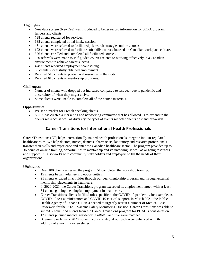### **Highlights:**

- New data system (NewOrg) was introduced to better record information for SOPA program, funders and clients.
- 728 clients registered for services.
- 638 clients completed initial intake session.
- 451 clients were referred to facilitated job search strategies online courses.
- 192 clients were referred to facilitate soft skills courses focused on Canadian workplace culture.
- 326 clients enrolled and completed all facilitated courses.
- 660 referrals were made to self-guided courses related to working effectively in a Canadian environment to achieve career success.
- 478 clients received employment counselling.
- 60 clients successfully obtained employment.
- Referred 515 clients to post-arrival resources in their city.
- Referred 613 clients to mentorship programs.

### **Challenges:**

- Number of clients who dropped out increased compared to last year due to pandemic and uncertainty of when they might arrive.
- Some clients were unable to complete all of the course materials.

### **Opportunities:**

- We see a market for French-speaking clients.
- SOPA has created a marketing and networking committee that has allowed us to expand to the clients we reach as well as diversify the types of events we offer clients post and pre-arrival.

### **Career Transitions for International Health Professionals**

Career Transitions (CT) helps internationally trained health professionals integrate into un-regulated healthcare roles. We help doctors, nurses, dentists, pharmacists, laboratory and research professionals transfer their skills and experience and enter the Canadian healthcare sector. The program provided up to 36 hours of on-line training, opportunities in mentorship and volunteering, as well as ongoing resources and support. CT also works with community stakeholders and employers to fill the needs of their organizations.

- Over 100 clients accessed the program, 51 completed the workshop training.
- 15 clients began volunteering opportunities.
- 21 clients engaged in activities through our peer-mentorship program and through external mentorship placements in healthcare.
- In 2020-2021, the Career Transitions program exceeded its employment target, with at least 64 clients gaining meaningful employment in health care.
- Career Transitions clients fulfilled roles specific to the COVID-19 pandemic, for example, as COVID-19 test administrators and COVID-19 clerical support. In March 2021, the Public Health Agency of Canada (PHAC) needed to urgently recruit a number of Medical Case Reviewers for the PHAC Vaccine Safety Monitoring Division. Career Transitions was able to submit 30 qualified clients from the Career Transitions program for PHAC's consideration.
- 12 clients pursued medical residency (CaRMS) and five were matched.
- Beginning in January 2020, social media and digital outreach were enhanced with the addition of a monthly e-newsletter.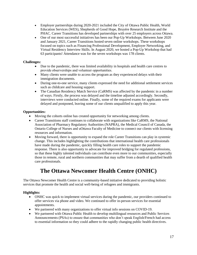- Employer partnerships during 2020-2021 included the City of Ottawa Public Health, World Education Services (WES), Shepherds of Good Hope, Bruyére Research Institute and the PHAC. Career Transitions has developed partnerships with over 25 employers across Ottawa.
- One of our most successful initiatives has been our Pop-Up Workshops. Between June 2020 and January 2021, Career Transitions hosted seven online workshops. These workshops focused on topics such as Financing Professional Development, Employer Networking, and Virtual Residency Interview Skills. In August 2020, we hosted a Pop-Up Workshop that had 63 participants! Attendance was for the seven workshops was 178 clients.

### **Challenges:**

- Due to the pandemic, there was limited availability in hospitals and health care centres to provide observerships and volunteer opportunities.
- Many clients were unable to access the program as they experienced delays with their immigration documents.
- During one-to-one service, many clients expressed the need for additional settlement services such as childcare and housing support.
- The Canadian Residency Match Service (CaRMS) was affected by the pandemic in a number of ways. Firstly, the process was delayed and the timeline adjusted accordingly. Secondly, interviews were conducted online. Finally, some of the required exams for applicants were delayed and postponed, leaving some of our clients unqualified to apply this year.

### **Opportunities:**

- Moving the cohorts online has created opportunity for networking among clients.
- Career Transitions staff continues to collaborate with organizations like CaRMS, the National Association of Pharmacy Regulatory Authorities (NAPRA), the Medical Council of Canada, the Ontario College of Nurses and uOttawa Faculty of Medicine to connect our clients with licensing resources and information.
- Moving forward, there is opportunity to expand the role Career Transitions can play in systemic change. This includes highlighting the contributions that international health care professionals have made during the pandemic, quickly filling health care roles to support the pandemic response. There is also opportunity to advocate for improved bridging for regulated professions, so that these highly talented individuals can contribute even more to our communities, especially those in remote, rural and northern communities that may suffer from a dearth of qualified health care professionals.

# **The Ottawa Newcomer Health Centre (ONHC)**

The Ottawa Newcomer Health Centre is a community-based initiative dedicated to providing holistic services that promote the health and social well-being of refugees and immigrants.

- ONHC was quick to implement virtual services during the pandemic, our providers continued to offer services via phone and video. We continued to offer in-person services for essential appointments.
- We partnered with many organizations to offer virtual info sessions on COVID-19.
- We partnered with Ottawa Public Health to develop multilingual resources and Public Services Announcements (PSAs) to ensure that communities who don't speak English/French had access to essential information so they could adhere to the rapidly changing public health directives.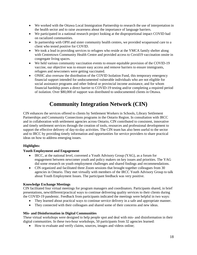- We worked with the Ottawa Local Immigration Partnership to research the use of interpretation in the health sector and to raise awareness about the importance of language barriers.
- We participated in a national research project looking at the disproportional impact COVID had on racialized communities.
- In partnership with OPH and sister community health centres, we provided wraparound care to a client who tested positive for COVID.
- We took a lead in providing services to refugees who reside at the YMCA family shelter along with Centretown Community Health Centre and provided access to Covid19 vaccination onsite in congregate living spaces.
- We held various community vaccination events to ensure equitable provision of the COVID-19 vaccine, our objective was to ensure easy access and remove barriers to ensure immigrants, refugees and newcomers were getting vaccinated.
- ONHC also oversaw the distribution of the COVID Isolation Fund, this temporary emergency financial support intended for undocumented vulnerable individuals who are not eligible for social assistance programs and other federal or provincial income assistance, and for whom financial hardship poses a direct barrier to COVID-19 testing and/or completing a required period of isolation. Over \$80,000 of support was distributed to undocumented clients in Ottawa.

# **Community Integration Network (CIN)**

CIN enhances the services offered to clients by Settlement Workers in Schools, Library Settlement Partnerships and Community Connections programs in the Ontario Region. In consultation with IRCC and in collaboration with settlement agencies across Ontario, CIN contributed to consistent, innovative and timely settlement services through the creation of tools, resources and professional development to support the effective delivery of day-to-day activities. The CIN team has also been useful to the sector and to IRCC by providing timely information and opportunities for service providers to share practical ideas on how to address emerging issues.

### **Highlights:**

### **Youth Employment and Engagement**

- IRCC, at the national level, convened a Youth Advisory Group (YAG), as a forum for engagement between newcomer youth and policy makers on key issues and priorities. The YAG did some research on youth employment challenges and shared findings and recommendations.
- CIN organized and facilitated three Zoom sessions that brought together colleagues from 30 agencies in Ontario. They met virtually with members of the IRCC Youth Advisory Group to talk about Youth Employment Issues. The participant feedback was very positive.

### **Knowledge Exchange Meetings**

CIN facilitated four virtual meetings for program managers and coordinators. Participants shared, in brief presentations, new/different/practical ways to continue delivering quality services to their clients during the COVID-19 pandemic. Feedback from participants indicated the meetings were helpful in two ways:

- They learned about practical ways to continue service delivery in a safe and appropriate manner.
- They connected with their colleagues and shared some of their concerns and new ideas.

### **Mis- and Disinformation in Digital Communities**

These virtual workshops were designed to help people spot and deal with mis- and disinformation in their digital communities. In these two-hour workshops, 50 participants from 32 agencies learned:

How to evaluate and verify claims, sources, images and videos online;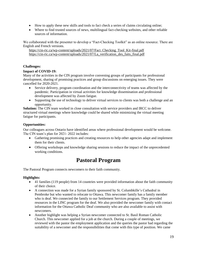- How to apply these new skills and tools to fact check a series of claims circulating online;
- Where to find trusted sources of news, multilingual fact-checking websites, and other reliable sources of information.

We collaborated with the presenter to develop a "Fact-Checking Toolkit" as an online resource. There are English and French versions.

[https://cin-ric.ca/wp-content/uploads/2021/07/Fact\\_Checking\\_Tool\\_Kit-final.pdf](https://cin-ric.ca/wp-content/uploads/2021/07/Fact_Checking_Tool_Kit-final.pdf) [https://cin-ric.ca/wp-content/uploads/2021/07/La\\_verification\\_des\\_faits\\_final.pdf](https://cin-ric.ca/wp-content/uploads/2021/07/La_verification_des_faits_final.pdf)

### **Challenges:**

### **Impact of COVID-19:**

Many of the activities in the CIN program involve convening groups of participants for professional development, sharing of promising practices and group discussions on emerging issues. They were cancelled for 2020-2021.

- Service delivery, program coordination and the interconnectivity of teams was affected by the pandemic. Participation in virtual activities for knowledge dissemination and professional development was affected by Zoom fatigue.
- Supporting the use of technology to deliver virtual services to clients was both a challenge and an opportunity.

**Solution:** The CIN team worked in close consultation with service providers and IRCC to deliver structured virtual meetings where knowledge could be shared while minimizing the virtual meeting fatigue for participants.

### **Opportunities:**

Our colleagues across Ontario have identified areas where professional development would be welcome. The CIN team's plan for 2021- 2022 includes:

- Gathering promising practices and creating resources to help other agencies adapt and implement them for their clients.
- Offering workshops and knowledge sharing sessions to reduce the impact of the unprecedented working conditions.

## **Pastoral Program**

The Pastoral Program connects newcomers to their faith community.

- 41 families (119 people) from 14 countries were provided information about the faith community of their choice.
- A connection was made for a Syrian family sponsored by St. Columbkille's Cathedral in Pembroke but who wanted to relocate to Ottawa. This newcomer family has a family member who is deaf. We connected the family to our Settlement Services program. They provided resources in the LINC program for the deaf. We also provided the newcomer family with contact information for the Ottawa Catholic Deaf community who are also available to assist with newcomers.
- Another highlight was helping a Syrian newcomer connected to St. Basil Roman Catholic Church. This newcomer applied for a job at the church. During a couple of meetings, we reviewed with the pastor the employment application and the queries the pastor had regarding the suitability of a newcomer and the responsibilities that come with this type of position. We came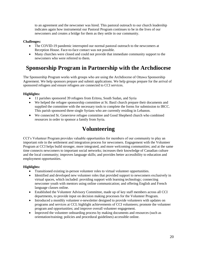to an agreement and the newcomer was hired. This pastoral outreach to our church leadership indicates again how instrumental our Pastoral Program continues to be in the lives of our newcomers and creates a bridge for them as they settle in our community.

### **Challenges:**

- The COVID-19 pandemic interrupted our normal pastoral outreach to the newcomers at Reception House. Face-to-face contact was not possible.
- Many churches were closed and could not provide that immediate community support to the newcomers who were referred to them.

# **Sponsorship Program in Partnership with the Archdiocese**

The Sponsorship Program works with groups who are using the Archdiocese of Ottawa Sponsorship Agreement. We help sponsors prepare and submit applications. We help groups prepare for the arrival of sponsored refugees and ensure refugees are connected to CCI services.

### **Highlights:**

- 11 parishes sponsored 39 refugees from Eritrea, South Sudan, and Syria
- We helped the refugee sponsorship committee at St. Basil church prepare their documents and supplied the committee with the necessary tools to complete the forms for submission to IRCC. This parish sponsored three single Syrians who are currently residing in Lebanon.
- We connected St. Genevieve refugee committee and Good Shepherd church who combined resources in order to sponsor a family from Syria.

# **Volunteering**

CCI's Volunteer Program provides valuable opportunities for members of our community to play an important role in the settlement and integration process for newcomers. Engagement with the Volunteer Program at CCI helps build stronger, more integrated, and more welcoming communities; and at the same time connects newcomers to important social networks; increases their knowledge of Canadian culture and the local community; improves language skills; and provides better accessibility to education and employment opportunities.

- Transitioned existing in-person volunteer roles to virtual volunteer opportunities.
- Identified and developed new volunteer roles that provided support to newcomers exclusively in virtual spaces, which included: providing support with learning technology; connecting newcomer youth with mentors using online communication; and offering English and French language classes online.
- Established the Volunteer Advisory Committee, made up of key staff members across all CCI departments, to provide input on decision making processes for the Volunteer Program.
- Introduced a monthly volunteer e-newsletter designed to provide volunteers with updates on programs and services at CCI; highlight achievements of CCI volunteers; promote the volunteer program and opportunities; and improve overall volunteer engagement.
- Improved the volunteer onboarding process by making documents and resources (such as orientation/training; policies and procedural guidelines) accessible online.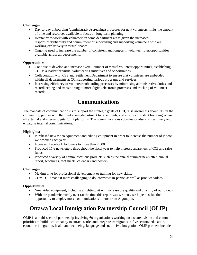### **Challenges:**

- Day-to-day onboarding (administrative/screening) processes for new volunteers limits the amount of time and resources available to focus on long-term planning.
- Hesitancy to work with volunteers in some department areas given the increased responsibility/liability and commitment of supervising and supporting volunteers who are working exclusively in virtual spaces.
- Ongoing need to increase the number of consistent and long-term volunteer roles/opportunities available across all departments.

### **Opportunities:**

- Continue to develop and increase overall number of virtual volunteer opportunities, establishing CCI as a leader for virtual volunteering initiatives and opportunities.
- Collaboration with CSS and Settlement Department to ensure that volunteers are embedded within all departments at CCI supporting various programs and services.
- Increasing efficiency of volunteer onboarding processes by minimising administrative duties and recordkeeping and transitioning to more digital/electronic processes and tracking of volunteer records.

# **Communications**

The mandate of communications is to support the strategic goals of CCI, raise awareness about CCI in the community, partner with the fundraising department to raise funds, and ensure consistent branding across all external and internal digital/print platforms. The communications coordinator also ensures timely and engaging internal communications.

### **Highlights:**

- Purchased new video equipment and editing equipment in order to increase the number of videos we produce each year.
- Increased Facebook followers to more than 2,000.
- Produced 15 e-newsletters throughout the fiscal year to help increase awareness of CCI and raise funds.
- Produced a variety of communications products such as the annual summer newsletter, annual report, brochures, fact sheets, calendars and posters.

### **Challenges:**

- Making time for professional development or training for new skills.
- COVID-19 made it more challenging to do interviews in-person as well as produce videos.

### **Opportunities:**

- New video equipment, including a lighting kit will increase the quality and quantity of our videos
- With the pandemic mostly over (at the time this report was written), we hope to seize the opportunity to employ more communications interns from Algonquin.

# **Ottawa Local Immigration Partnership Council (OLIP)**

OLIP is a multi-sectoral partnership involving 60 organizations working on a shared vision and common priorities to build local capacity to attract, settle, and integrate immigrants in five sectors: education, economic integration, health and wellbeing, language and socio-civic integration. OLIP partners include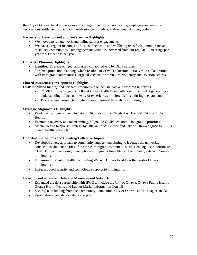the City of Ottawa, local universities and colleges, the four school boards, employers and employer associations, settlement, social, and health service providers, and regional planning bodies.

### **Partnership Development and Governance Highlights**

- We moved to remote work and online partner engagements
- We paused regular meetings to focus on the health and wellbeing risks facing immigrants and racialized communities. Our engagement activities increased from our regular 15 meetings per year to 93 meetings per year.

### **Collective Planning Highlights:**

- Identified 11 areas of need, addressed collaboratively by OLIP partners.
- Targeted protection planning, which resulted in COVID education initiatives in collaboration with immigrant communities, targeted vaccination strategies, voluntary and isolation centres.

### **Shared Awareness Development Highlights:**

OLIP mobilized funding and partners' resources to launch six data and research initiatives.

- COVID Stories Project, an OLIP/Ottawa Health Team collaboration aimed at generating an understanding of the complexity of experiences immigrants faced during the pandemic.
- Two academic research initiatives commissioned through new funding.

### **Strategic Alignments Highlights:**

- Pandemic response aligned to City of Ottawa's Human Needs Task Force & Ottawa Public Health.
- Economic recovery and talent strategy aligned to OLIP's economic integration priorities.
- Mental Health Response Strategy by Ottawa Police Service and City of Ottawa aligned to OLIPs mental health action plan.

### **Coordinating Actions and Curating Collective Impact**

- Developed a new approach to community engagement aiming to leverage the networks, connections, and creativities of the three immigrant communities experiencing disproportionate COVID impact, including Francophone immigrants from Africa, Arab immigrants, and Somali immigrants.
- Expansion of Mental Health Counselling Walk-in Clinics to address the needs of Black immigrants
- Increased food security and technology supports to immigrants.

### **Development of Shared Data and Measurement Network**

- Expanded the data partnership with IRCC to include the City of Ottawa, Ottawa Public Health, Ottawa Health Team, and Labour Market Information Council
- Secured new funding from the Community Foundation, City of Ottawa, and Heritage Canada.
- Established a new data strategy and plan.